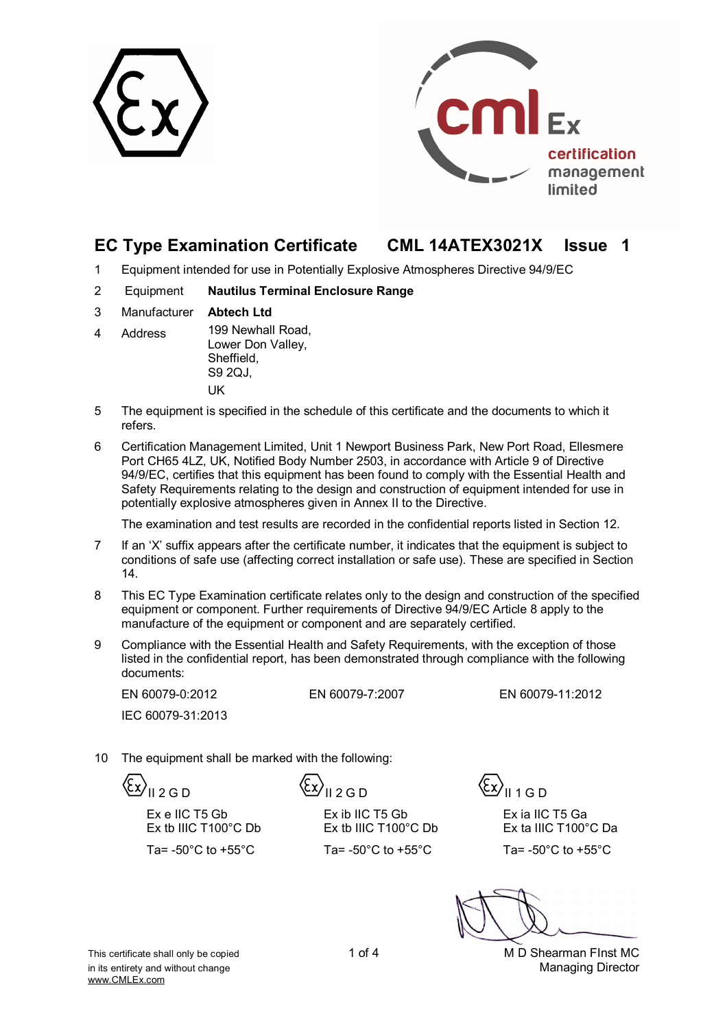



# **EC Type Examination Certificate CML 14ATEX3021X Issue 1**

- 1 Equipment intended for use in Potentially Explosive Atmospheres Directive 94/9/EC
- 2 Equipment **Nautilus Terminal Enclosure Range**
- 3 Manufacturer **Abtech Ltd**
- 4 Address 199 Newhall Road, Lower Don Valley, Sheffield, S9 2QJ, UK
- 5 The equipment is specified in the schedule of this certificate and the documents to which it refers.
- 6 Certification Management Limited, Unit 1 Newport Business Park, New Port Road, Ellesmere Port CH65 4LZ, UK, Notified Body Number 2503, in accordance with Article 9 of Directive 94/9/EC, certifies that this equipment has been found to comply with the Essential Health and Safety Requirements relating to the design and construction of equipment intended for use in potentially explosive atmospheres given in Annex II to the Directive.

The examination and test results are recorded in the confidential reports listed in Section 12.

- 7 If an 'X' suffix appears after the certificate number, it indicates that the equipment is subject to conditions of safe use (affecting correct installation or safe use). These are specified in Section 14.
- 8 This EC Type Examination certificate relates only to the design and construction of the specified equipment or component. Further requirements of Directive 94/9/EC Article 8 apply to the manufacture of the equipment or component and are separately certified.
- 9 Compliance with the Essential Health and Safety Requirements, with the exception of those listed in the confidential report, has been demonstrated through compliance with the following documents:

IEC 60079-31:2013

EN 60079-0:2012 EN 60079-7:2007 EN 60079-11:2012

10 The equipment shall be marked with the following:

Ex e IIC T5 Gb Ex tb IIIC T100°C Db

 $\langle \xi x \rangle_{\parallel 2 \, \text{G D}}$   $\langle \xi x \rangle_{\parallel 1 \, \text{G D}}$   $\langle \xi x \rangle_{\parallel 1 \, \text{G D}}$ 

Ex ib IIC T5 Gb Ex tb IIIC T100°C Db Ta=  $-50^{\circ}$ C to  $+55^{\circ}$ C Ta=  $-50^{\circ}$ C to  $+55^{\circ}$ C Ta=  $-50^{\circ}$ C to  $+55^{\circ}$ C

Ex ia IIC T5 Ga Ex ta IIIC T100°C Da

This certificate shall only be copied 1 of 4 1 of 4 M D Shearman FInst MC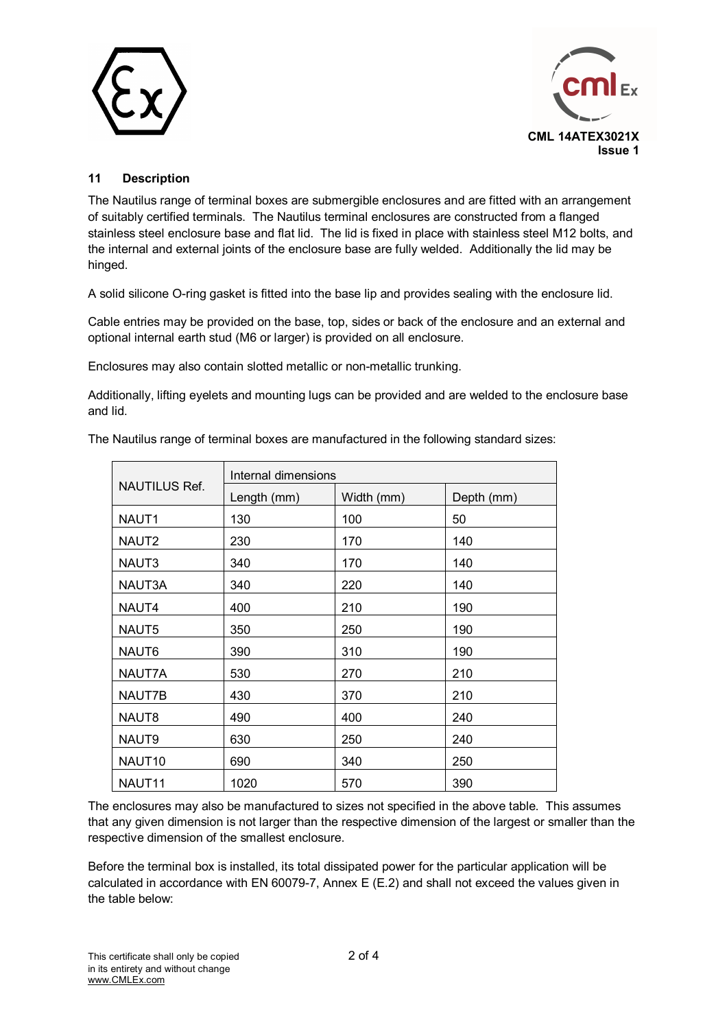



## **11 Description**

The Nautilus range of terminal boxes are submergible enclosures and are fitted with an arrangement of suitably certified terminals. The Nautilus terminal enclosures are constructed from a flanged stainless steel enclosure base and flat lid. The lid is fixed in place with stainless steel M12 bolts, and the internal and external joints of the enclosure base are fully welded. Additionally the lid may be hinged.

A solid silicone O-ring gasket is fitted into the base lip and provides sealing with the enclosure lid.

Cable entries may be provided on the base, top, sides or back of the enclosure and an external and optional internal earth stud (M6 or larger) is provided on all enclosure.

Enclosures may also contain slotted metallic or non-metallic trunking.

Additionally, lifting eyelets and mounting lugs can be provided and are welded to the enclosure base and lid.

| <b>NAUTILUS Ref.</b> | Internal dimensions |            |            |  |  |
|----------------------|---------------------|------------|------------|--|--|
|                      | Length (mm)         | Width (mm) | Depth (mm) |  |  |
| NAUT1                | 130                 | 100        | 50         |  |  |
| NAUT <sub>2</sub>    | 230                 | 170        | 140        |  |  |
| NAUT3                | 340                 | 170        | 140        |  |  |
| NAUT3A               | 340                 | 220        | 140        |  |  |
| NAUT4                | 400                 | 210        | 190        |  |  |
| NAUT5                | 350                 | 250        | 190        |  |  |
| NAUT6                | 390                 | 310        | 190        |  |  |
| NAUT7A               | 530                 | 270        | 210        |  |  |
| NAUT7B               | 430                 | 370        | 210        |  |  |
| NAUT8                | 490                 | 400        | 240        |  |  |
| NAUT9                | 630                 | 250        | 240        |  |  |
| NAUT <sub>10</sub>   | 690                 | 340        | 250        |  |  |
| NAUT11               | 1020                | 570        | 390        |  |  |

The Nautilus range of terminal boxes are manufactured in the following standard sizes:

The enclosures may also be manufactured to sizes not specified in the above table. This assumes that any given dimension is not larger than the respective dimension of the largest or smaller than the respective dimension of the smallest enclosure.

Before the terminal box is installed, its total dissipated power for the particular application will be calculated in accordance with EN 60079-7, Annex E (E.2) and shall not exceed the values given in the table below: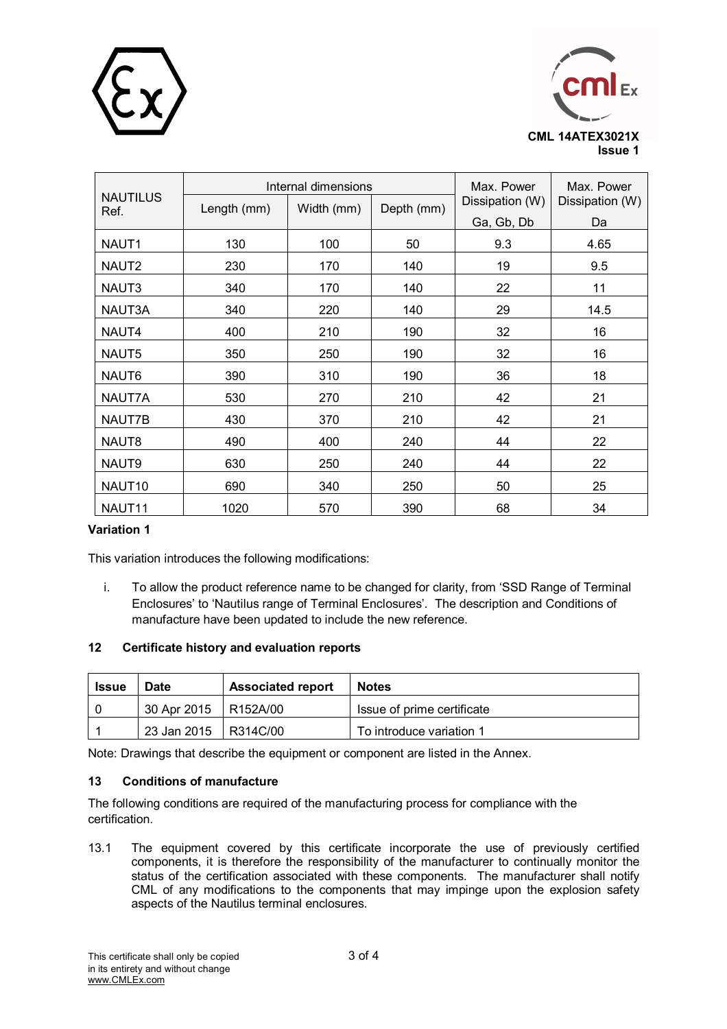



|                         |             | Internal dimensions | Max. Power | Max. Power      |                 |
|-------------------------|-------------|---------------------|------------|-----------------|-----------------|
| <b>NAUTILUS</b><br>Ref. | Length (mm) | Width (mm)          | Depth (mm) | Dissipation (W) | Dissipation (W) |
|                         |             |                     |            | Ga, Gb, Db      | Da              |
| NAUT <sub>1</sub>       | 130         | 100                 | 50         | 9.3             | 4.65            |
| NAUT <sub>2</sub>       | 230         | 170                 | 140        | 19              | 9.5             |
| NAUT3                   | 340         | 170                 | 140        | 22              | 11              |
| NAUT3A                  | 340         | 220                 | 140        | 29              | 14.5            |
| NAUT4                   | 400         | 210                 | 190        | 32              | 16              |
| NAUT5                   | 350         | 250                 | 190        | 32              | 16              |
| NAUT6                   | 390         | 310                 | 190        | 36              | 18              |
| NAUT7A                  | 530         | 270                 | 210        | 42              | 21              |
| NAUT7B                  | 430         | 370                 | 210        | 42              | 21              |
| NAUT8                   | 490         | 400                 | 240        | 44              | 22              |
| NAUT9                   | 630         | 250                 | 240        | 44              | 22              |
| NAUT10                  | 690         | 340                 | 250        | 50              | 25              |
| NAUT11                  | 1020        | 570                 | 390        | 68              | 34              |

### **Variation 1**

This variation introduces the following modifications:

i. To allow the product reference name to be changed for clarity, from 'SSD Range of Terminal Enclosures' to 'Nautilus range of Terminal Enclosures'. The description and Conditions of manufacture have been updated to include the new reference.

#### **12 Certificate history and evaluation reports**

| Issue | <b>Date</b>            | <b>Associated report</b> | <b>Notes</b>               |
|-------|------------------------|--------------------------|----------------------------|
|       | 30 Apr 2015   R152A/00 |                          | Issue of prime certificate |
|       | 23 Jan 2015   R314C/00 |                          | To introduce variation 1   |

Note: Drawings that describe the equipment or component are listed in the Annex.

#### **13 Conditions of manufacture**

The following conditions are required of the manufacturing process for compliance with the certification.

13.1 The equipment covered by this certificate incorporate the use of previously certified components, it is therefore the responsibility of the manufacturer to continually monitor the status of the certification associated with these components. The manufacturer shall notify CML of any modifications to the components that may impinge upon the explosion safety aspects of the Nautilus terminal enclosures.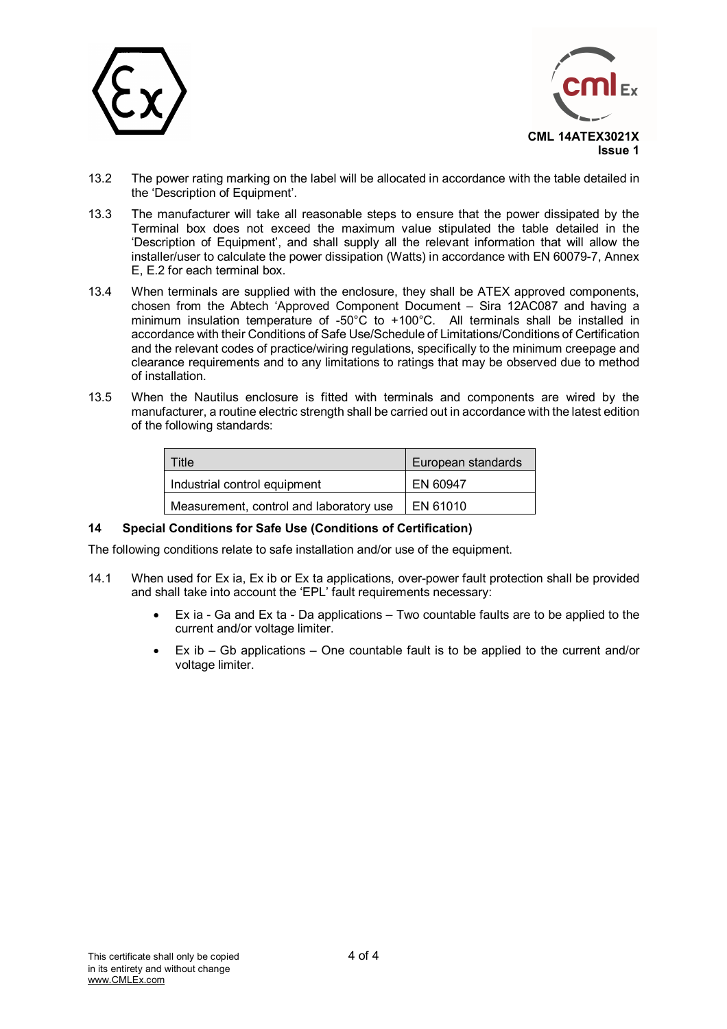



- 13.2 The power rating marking on the label will be allocated in accordance with the table detailed in the 'Description of Equipment'.
- 13.3 The manufacturer will take all reasonable steps to ensure that the power dissipated by the Terminal box does not exceed the maximum value stipulated the table detailed in the 'Description of Equipment', and shall supply all the relevant information that will allow the installer/user to calculate the power dissipation (Watts) in accordance with EN 60079-7, Annex E, E.2 for each terminal box.
- 13.4 When terminals are supplied with the enclosure, they shall be ATEX approved components, chosen from the Abtech 'Approved Component Document – Sira 12AC087 and having a minimum insulation temperature of -50 $^{\circ}$ C to +100 $^{\circ}$ C. All terminals shall be installed in accordance with their Conditions of Safe Use/Schedule of Limitations/Conditions of Certification and the relevant codes of practice/wiring regulations, specifically to the minimum creepage and clearance requirements and to any limitations to ratings that may be observed due to method of installation.
- 13.5 When the Nautilus enclosure is fitted with terminals and components are wired by the manufacturer, a routine electric strength shall be carried out in accordance with the latest edition of the following standards:

| Title                                   | European standards |
|-----------------------------------------|--------------------|
| Industrial control equipment            | EN 60947           |
| Measurement, control and laboratory use | EN 61010           |

#### **14 Special Conditions for Safe Use (Conditions of Certification)**

The following conditions relate to safe installation and/or use of the equipment.

- 14.1 When used for Ex ia, Ex ib or Ex ta applications, over-power fault protection shall be provided and shall take into account the 'EPL' fault requirements necessary:
	- Ex ia Ga and Ex ta Da applications Two countable faults are to be applied to the current and/or voltage limiter.
	- $Ex$  ib  $-$  Gb applications  $-$  One countable fault is to be applied to the current and/or voltage limiter.